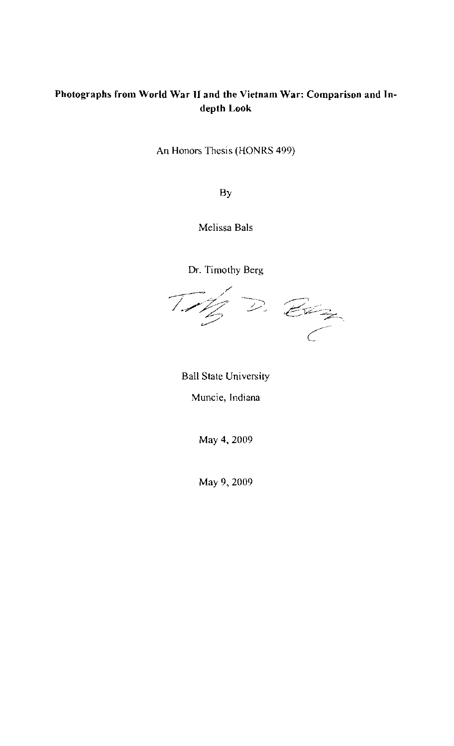# **Photographs from World War II and the Vietnam War: Comparison and Indepth Look**

An Honors Thesis (HONRS 499)

By

Melissa Bals

Dr. Timothy Berg

 $\mathcal{T}$ 

 $\frac{1}{2}$  D. Etc.

Ball State University

**Muncie, Indiana** 

May 4, 2009

May 9, 2009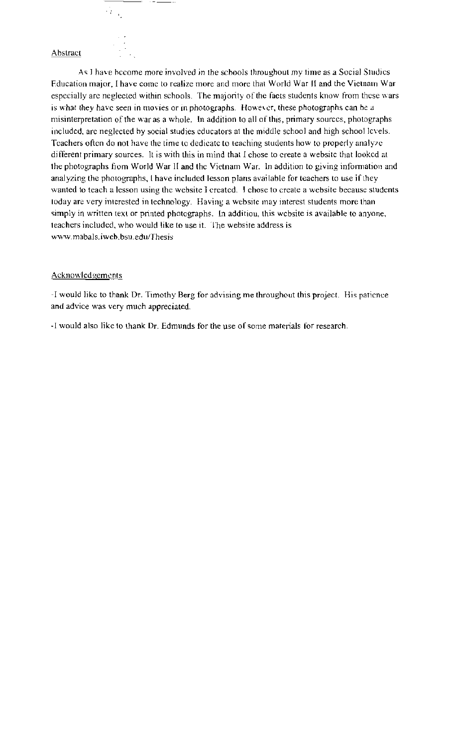#### Abstract

 $\cdots$   $-$ 

 $\mathcal{A}_{\mathcal{A}_1}$ 

As I have become more involved in the scbools throughout my time as a Social Studies Education major, I have come to realize more and more that World War II and the Vietnam War especially are neglected within schools. The majority of the facts students know from these wars is what they have seen in movies or in photographs. However, these photographs can be a misinterpretation of the war as a whole. In addition to all of this, primary sources, photographs included, are neglected by social studies educators at the middle school and high school levels. Teachers often do not have the time to dedicate to teaching students how to properly analyze different primary sources. It is with this in mind that I chose to create a websitc that looked at the photographs from World War II and the Vietnam War. In addition to giving information and analyzing the photographs, I have included lesson plans available for teachers to use if they wanted to teach a lesson using the website I creatcd. I chose to create a website because students today are very interested in technology. Having a website may interest students more than simply in written text or printed photographs. In additiou, this website is available to anyone, teachers included, who would like to use it. The website address is \-v\-\-'W. mabals. j web. bsu.eduJThesis

#### Acknowledgements

-J would like to thank Dr. Timothy Berg for advising me throughout this project. His patience and advice was very much appreciated.

-I would also like to thank Dr. Edmunds for the use of some materials for research.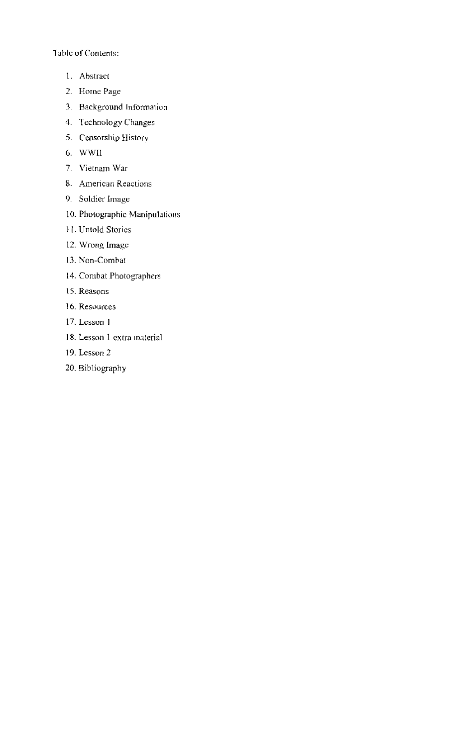Table of Contents:

- l. Abstract
- 2. Horne Page
- 3. Background Information
- 4. Technology Changes
- 5. Censorship History
- U. WWIl
- 7. Vietnam War
- 8. American Reactions
- 9. Soldier Image
- 10. Photographic Manipulations
- 11. Untold Stories
- 12. Wrong Image
- 13. Non-Combat
- 14. Combat Photographers
- 15. Reasons
- 16. Resources
- 17. Lesson I
- 18. Lesson 1 extra material
- 19. Lesson 2
- 20. Bibliography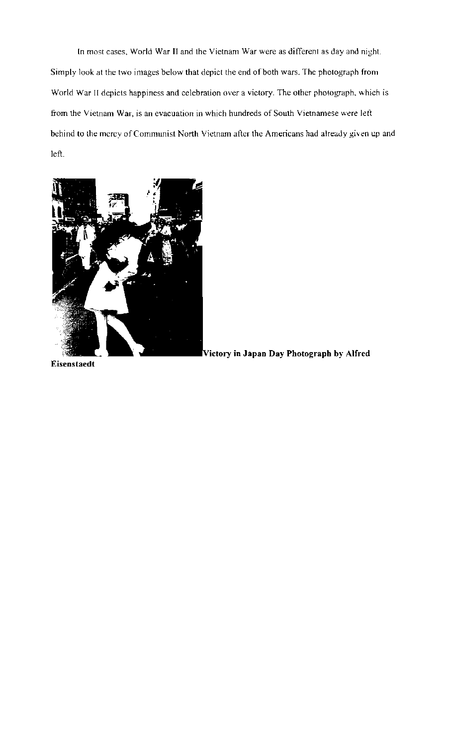**In** most cases. World War II and the Vietnam War were as different as day and night. Simply look *at* the two images below that depict the end of both wars. The photograph from World War II depicts happiness and celebration over a victory. The other photograph. which is from the Vietnam War, is an evacuation in which hundreds of South Vietnamese were left behind to the mcrcy of Communist North Vietnam after the Americans had already given up and left.



Vietorv **in Japan Day Photograph by Alfred** 

**Eisenstaedt**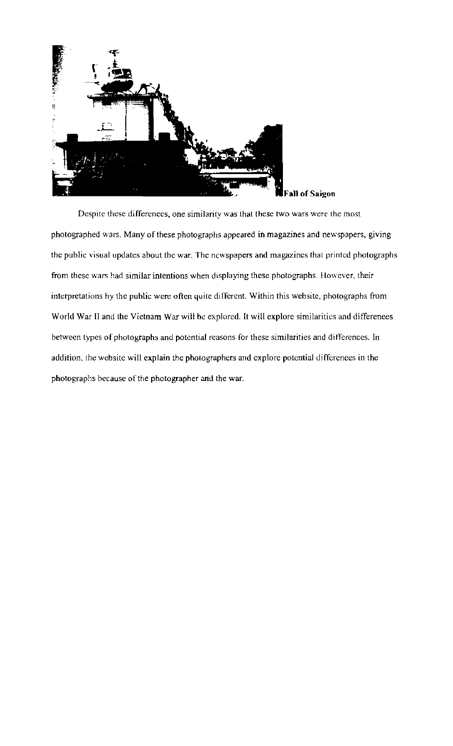

Despite these differences, one similarity was that these two wars were the most photographed wars. Many of these photographs appeared in magazines and newspapers, giving the public visual updates about the war. The newspapers and magazines that printed photographs from these wars had similar intentions when displaying these photographs. However, their interpretations hy the public were often quite different. Within this website, photographs from World War II and the Vietnam War will be explored. It will explore similarities and differenees between types of photographs and potential reasons for these similarities and differences. In addition, the website will explain *the* photographers and explore potential differences in **the**  photographs because of the photographer and the war.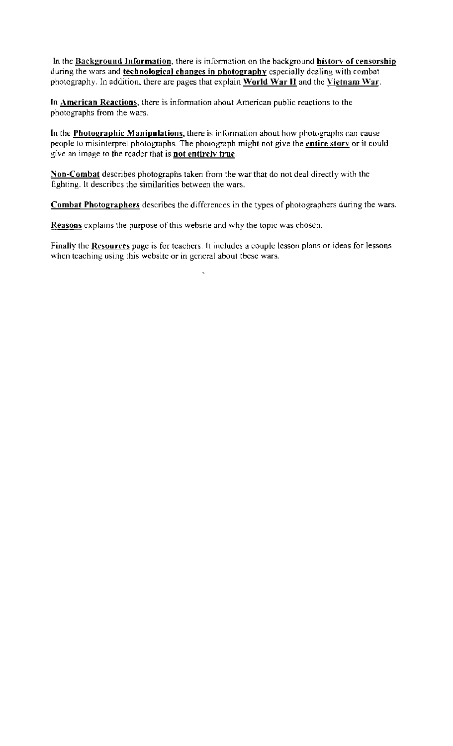In the Background Information, there is information on the background history of censorship during the wars and **technological changes in photography** especially dcaling with combat photography. In addition, there are pages that explain World War **II** and thc Vietnam \Var.

In American Reactions, there is infonnation ahout American public reactions to the photographs from the wars.

In the **Photographic Manipulations**, there is information about how photographs can cause people to misinterpret photographs. The photograph might not give the entire story or it could give an image to the reader that is **not entirely true**.

Non-Combat describes photographs taken from the war that do not deal directly with the fighting. It describes the similarities between the wars.

Combat Photographers describes the differences in the types of photographers during the wars.

Reasons explains the purpose of this website and why the topic was chosen.

Finally the Resources page is for teachers. It includes a couple lesson plans or ideas for lessons when teaching using this website or in general about these wars.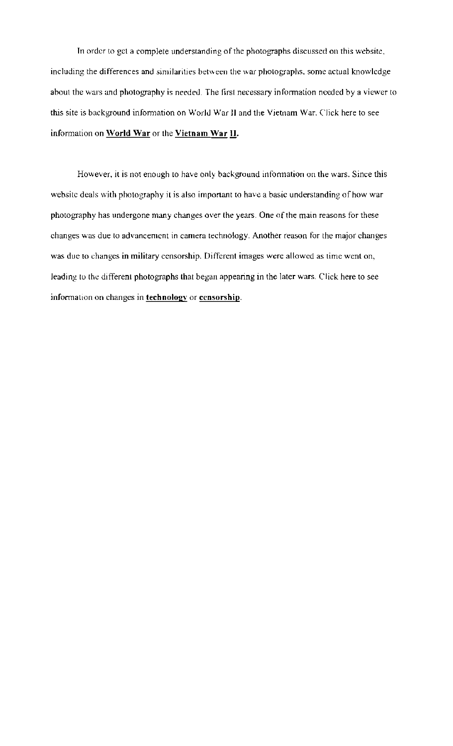In order to get a complete understanding of the photographs discussed on this website, including the differences and similarities between the war photographs, some actual knowlcdge about the wars and photography is needed. The first necessary information needed by a viewer to this site is background information on World War II and the Vietnam War. Click here to see information on World War or the Vietnam War  $H$ .

However, it is not enough to have only background information on the wars. Since this website deals with photography it is also important to have a basic understanding of how war photography has undergone many changes over the years. One of the main reasons for these changes was due to advancemcnt in camera technology. Another reason for the major changes was due to changes in military censorship. Different images were allowed as time went on, leading to the different photographs that began appearing in the later wars. Click here to see information on changes in technology or censorship.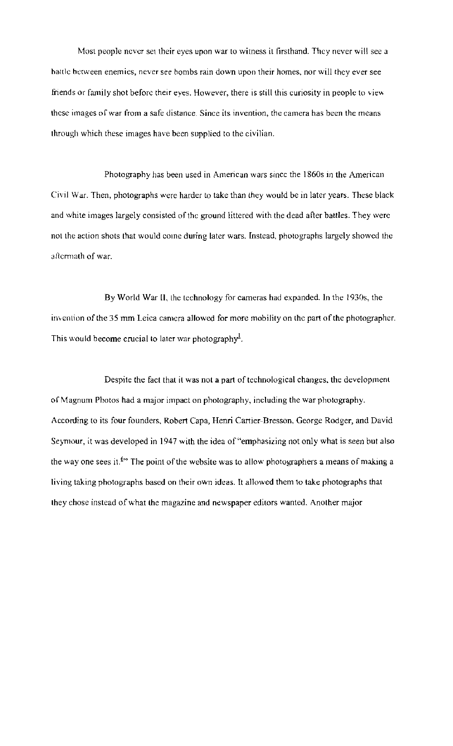Most people never set their eyes upon war to witness it firsthand. They never will see a battle between enemies, never see bombs rain down upon their homes, nor will they ever see friends or family shot before their eyes. However, there is still this curiosity in people to view these images of war from a safe distance. Since its invention, the camera has been the means through which these images have been supplied to the civilian.

Photography has been used in American wars since the 1860s in the American Civil War. Then, photographs were harder to take than they would be in later years. These black and white images largely consisted of the ground littered with the dead after battles. They were not the action shots that would come during later wars. Instead, photographs largely showed the aftermath of war.

By World War **11,** the technology for cameras had expanded. In the 1930s, the invention of the 35 mm Leica camera allowed for more mobility on the part of the photographer. This would become crucial to later war photography<sup>1</sup>.

Despite the fact that it was not a part of technological changes. the developmem of Magnum Photos had a major impact on photography, including the war photography. According to its four founders, Robert Capa, Henri Cartier-Bresson, George Rodger, and David Seymour, it was developed in 1947 with the idea of "emphasizing not only what is seen but also the way one sees it.<sup>6</sub>. The point of the website was to allow photographers a means of making a</sup> living taking photographs based on their own ideas. It allowed them to take photographs that they chose instead of what the magazine and newspaper editors wanted. Another major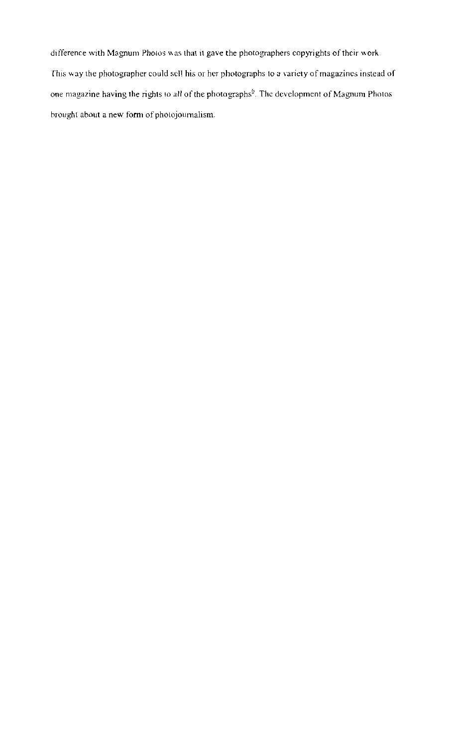difference with Magnum Photos was that it gave the photographers eopyrights of their work. This way the photographer could sell his or her photographs to a variety of magazines instead of one magazine having the rights to all of the photographs $\delta$ . The development of Magnum Photos brought about a new form of photojournalism.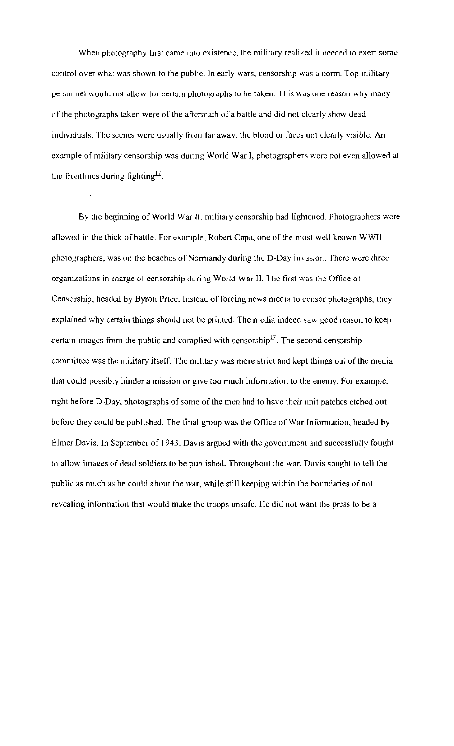When photography first came into existence, the military realized it needed to exert some control over what was shown to the public. In early wars, censorship was a norm. Top military personnel would not allow for certain photographs to be taken. This was one reason why many of the photographs taken were of the aftermath of a battle and did not clearly show dead individuals. The seenes were usually from far away, the blood or faces not clearly visible. An example of military censorship was during World War I, photographers were not even allowed at the frontlines during fighting $\mathbb{Z}$ .

By the beginning of World War 11, military censorship had lightened. Photographers were allowed in the thick of battle. For example, Robert Capa, one of the most well known WWII photographers, was on the beaches of Normandy during the D-Day invasion. There were three organizations in charge of censorship during World War II. The first was the Office of Censorship, headed by Byron Price. Instead of forcing news media to censor photographs, they explained why certain things should not be printed. The media indeed saw good reason to keep certain images from the public and complied with censorship<sup>17</sup>. The second censorship committee was the military itself. The military was more strict and kept things out of the media that could possibly hinder a mission or give too much information to the enemy. For example, right before D-Day, photographs of some of the men had to have their unit patches etched out before they could be published. The final group was the Office of War Information, headed by Elmer Davis. In September of 1943, Davis argued with the government and successfully fought to allow images of dead soldiers to be published. Throughout the war, Davis sought to tell the public as much as he could about the war, while still keeping within the boundaries of not revealing information that would make the troops unsafe. He did not want the press to be a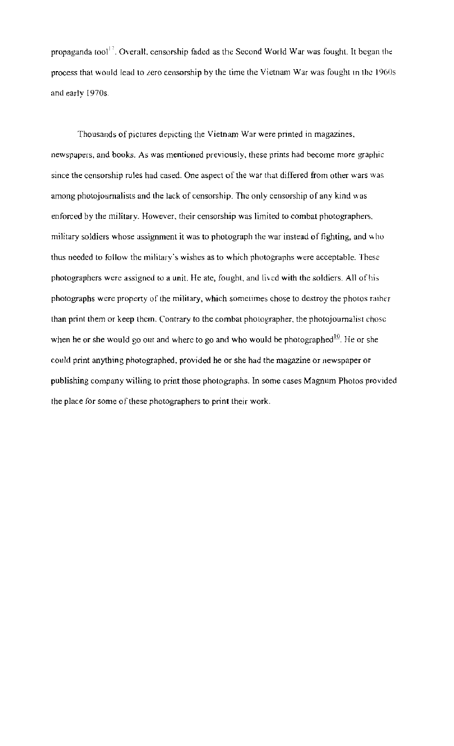propaganda tool<sup>17</sup>. Overall, censorship faded as the Second World War was fought. It began the process that would lead to *zero* censorship by the time the Vietnam War was fought In the 196()s and early 1970s.

Thousands of pictures depicting the Vietnam War were printed in magazines. newspapers, and books. As was mentioned previously, these prints had become more graphic since the censorship rules had cased. One aspect of the war that differed from other wars was among photojournalists and the lack of censorship. The only censorship of any kind was enforced by the military. However, their censorship was limited to combat photographers. military soldiers whose assignment it was to photograph the war instead of fighting, and who thus needed to follow the military's wishes as to which photographs were acceptable. These photographers were assigned to a unit. He ate, fought, and lived with the soldiers. All of his photographs were property of the military, which sometimes chose to destroy the photos rather than print them or keep them. Contrary to the combat photographer, the photojoumalist chose when he or she would go out and where to go and who would be photographed<sup>10</sup>. He or she could print anything photographed, provided he or she had the magazine or newspaper or publishing company willing to print those photographs. In some cases Magnum Photos provided the place for some of these photographers to print their work.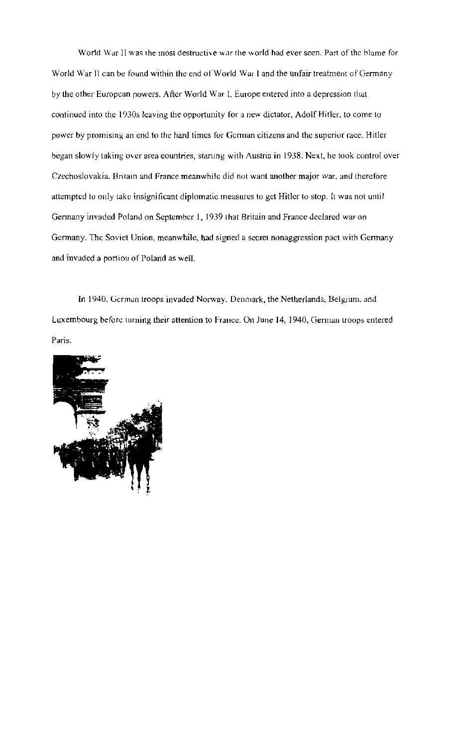World War II was the most destructive war the world had ever seen. Part of the blame for World War 11 can be found within the end of World War I and the unfair treatment of Germany by the other European powers. After World War *t*, Europe entered into a depression that continued into the 1930s leaving the opportunity for a new dictator, Adolf Hitler, to come to power by promising an end to the hard times for German citizens and the superior race. Hitler began slowly laking over area countries, starting with Austria in 1938. Next, he took control over Czechoslovakia. Britain and France meanwhile did not want another major war. and therefore attempted to only lake insignificant diplomatic measures to get Hitler to stop. It was not until Germany invaded Poland on September I, 1939 that Britain and France declared war on Germany. The Soviet Union, meanwhile, had signed a secret nonaggression pact with Gennany and invaded a portiou of Poland as well.

In 1940, German troops invaded Norway, Denmark, the Netherlands, Belgium. and Luxembourg before turning their attention to France. On June 14, 1940, Gennan troops entered Paris.

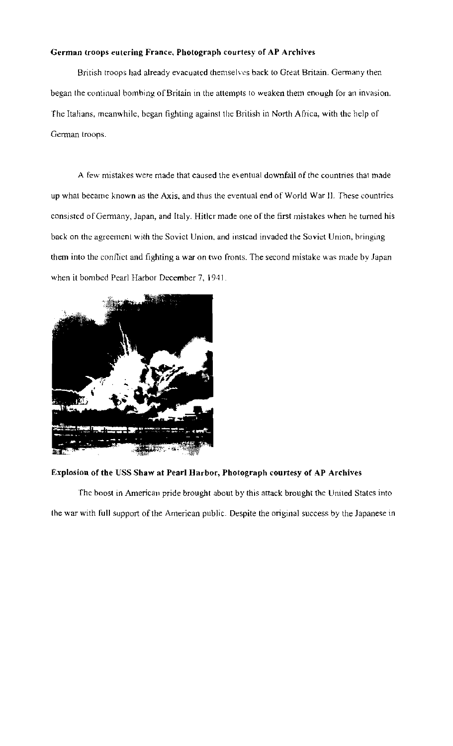### German troops eutering France, Photograph courtesy of AP Archives

British troops had already evacuated themselves back to Great Britain. Germany then began the continual bombing of Britain in the attempts to weaken them enough for an invasion. The Italians, meanwhile, began fighting against the British in North Africa, with the help of German troops.

A few mistakes were made that caused the eventual downfall of the countries that made up what became known as the Axis, and thus the eventual end of World War II. These countries consisted of Germany, Japan, and Italy. Hitler made one of the first mistakes when he turned his back on the agreement with the Soviet Union, and instead invaded Ihe Soviet Union, bringing them into the conflict and fighting a war on two fronts. The second mistake was made by Japan when it bombed Pearl Harbor December 7, 1941.



#### Explosion of the USS Shaw at Pearl Harbor, Photograph courtesy of AP Archives

The boost in American pride brought about by this attack brought the United States into the war with full support of the American public. Despite the original success by the Japanese in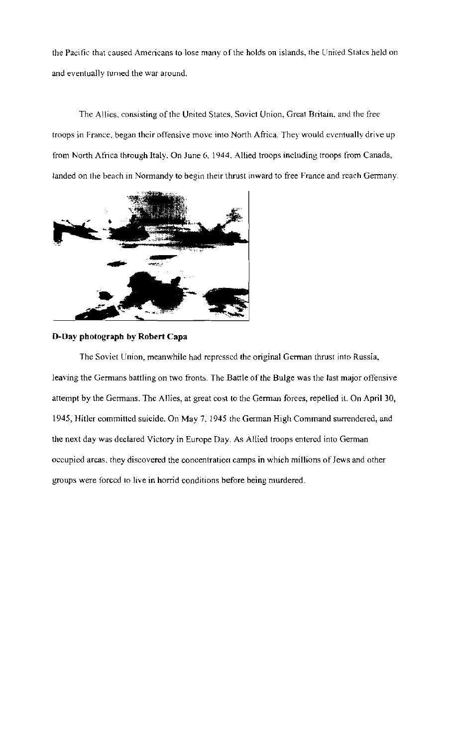the Pacific that caused Americans to lose many of the holds on islands, the United States held on and eventually turned the war around.

The Allics. consisting of the United States, Sovict Union, Great Britain, and *the* free troops in France, began their offensive move into North Africa. They would eventually drive up from North Africa through Italy. On June G, 1944, Allied troops including troops from Canada, landed on the beach in Normandy to begin their thrust inward to free France and reach Germany.



## **D-Day photograph by Robert Capa**

The Soviet Union, meanwhile had repressed the original German thrust into Russia, leaving the Germans battling on two fronts. The Battle of the Bulge was the last major offensive attempt by the Germans. The Allies, at great cost to the German forces, repelled it. On April 30, 1945, Hitler committed suicide. On May 7, 1945 the German High Command surrendered, and the next day was declared Victory in Europe Day. As Allied troops entered into German occupied areas, they discovered the concentration camps in which millions of Jews and other groups were forced to live in horrid conditions before being murdered.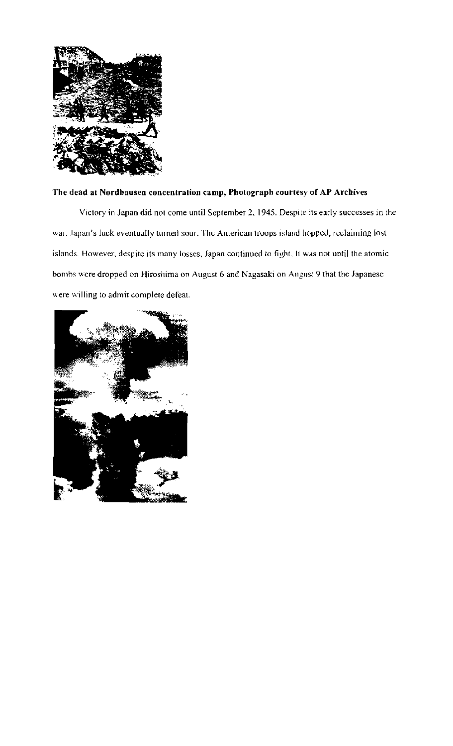

## **The dead at Nordhausen concentration camp, Photograph courtesy of AP Archives**

Victory in Japan did not come until September 2, 1945. Despite its early successes in the war. Japan's luck eventually turned sour. The American troops island hopped, reclaiming lost islands. However. despite its many losses, Japan continued to fight. It was nol until the atomic bombs were dropped on Hiroshima on August 6 and Nagasaki on August 9 that the Japanese were willing to admit complete defeat.

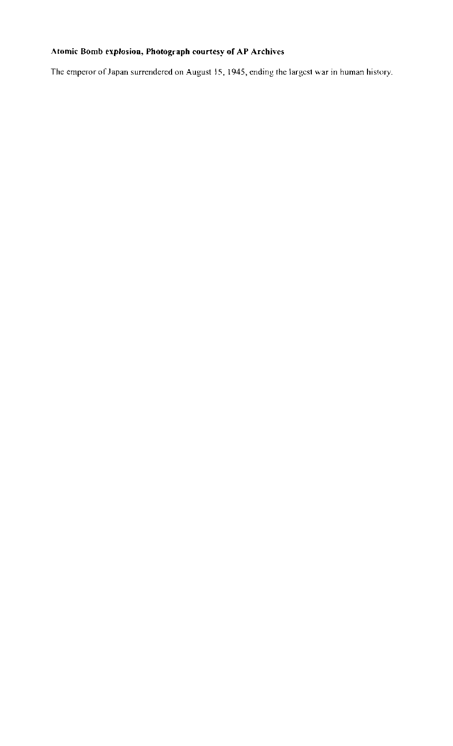# **Atomic Bomb explosion, Photograph courtesy of AP Archives**

The emperor of Japan surrendered on August 15, 1945, ending the largest war in human history.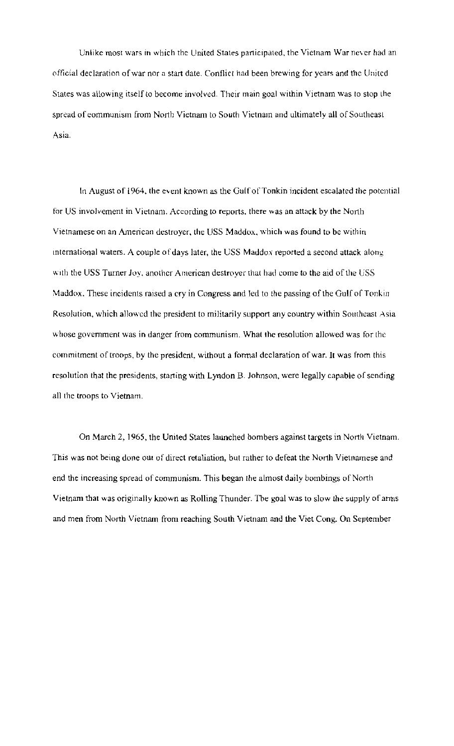Unlike most wars in which the United States participated, the Vietnam War never had an official declaration of war nor a start date. Conflict had been brewing for years and the Unitcd States was allowing itself to become involved. Their main goal within Vietnam was to stop the spread of eommunism from North Vietnam to South Vietnam and ultimately all of Southeast Asia.

In August of 1964, the event known as the Gulf of Tonkin incident escalated the potential for US involvement in Vietnam. According to reports. there was an attack by the North Vietnamese on an American destroyer, the USS Maddox, which was found to be within international waters. A couple of days later, the USS Maddox reported a second attack along with the USS Turner Joy, another American destroyer that had come to the aid of the USS Maddox. These incidents raised a cry in Congress and led to the passing of the Gulf of Tonkin Resolution, which allowed the president to militarily support any country within Southeast Asia whose government was in danger from communism. What the resolution allowed was for the commitment of troops, by the president, without a formal declaration of war. It was from this resolution that the presidents, starting with Lyndon B. Johnson, were legally capable of sending all the troops to Vietnam.

On March 2, 1965, the United States launched bombers against targets in North Vietnam. This was not being done out of direct retaliation, but rather to defeat the North Vietnamese and end the increasing spread of communism. This began Ihe almost daily bombings of North Vietnam that was originally known as Rolling Thunder. The goal was to slow the supply of arms and men from North Vietnam from reaching South Vietnam and the Viet Cong. On September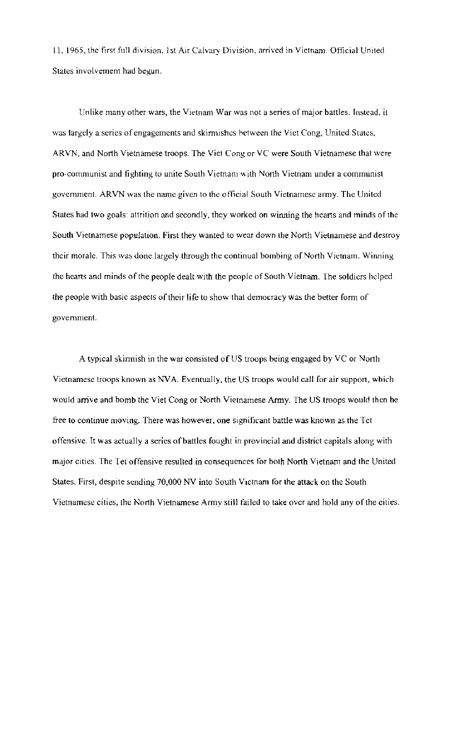II, 1965, the first full division. 1 st Air Calvary Division, arrived in Vietnam. Official United States involvement had begun.

Unlike many other wars, the Vietnam War was not a series of major battles. Instead. it was largely a series of engagements and skirmishes between the Viet Cong, United States, ARVN, and North Vietnamese troops. The Viet Cong or VC were South Vietnamese that were pro-communist and fighting to unite South Vietnam with North Vietnam under a communist government. ARVN was the name given to the official South Vietnamese army. The United States had two goals: attrition and secondly, they worked on winning the hearts and minds of the South Vietnamese population. First they wanted to wear down the North Vietnamese and destroy their morale. This was done largely through the continual bombing of North Vietnam. Winning the heans and minds of the people dealt with the people of South Vietnam. The soldiers helped the people with basic aspects of their life to show that democracy was the better form of government.

A typical skirmish in the war consisted of US troops being engaged by VC or North Vietnamese troops known as NVA. Eventually, the US troops would call for air support, which would arrive and bomb the Viet Cong or North Vietnamese Army. The US troops would then be free to continue moving. There was however, one significant battle was known as the Tct offensive. It was actually a series of battles fought in provincial and district capitals along with major cities. The Tet offensive resulted in consequences for both North Vietnam and the United States. First, despite sending 70,000 NV into South Vietnam for the attack on the South Vietnamese cities, the North Vietnamese Army still failed to take over and hold any of the cities.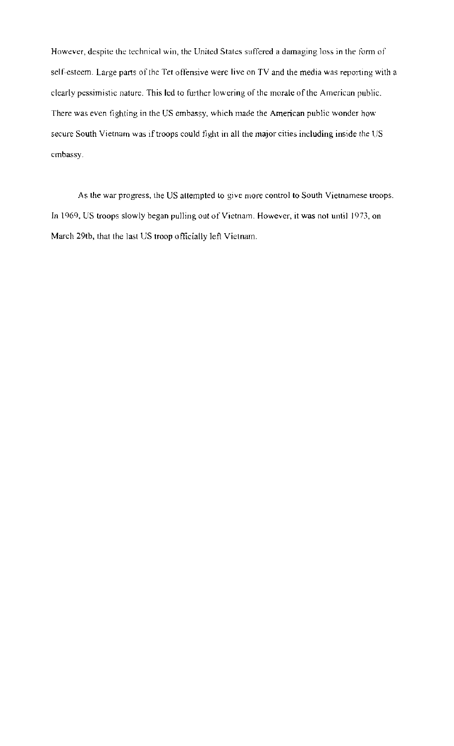However, despite the technical win, the United States suffered a damaging loss in the form of self-esteem. Large parts of the Tet offensive were live on TV and the media was reporting with a clearly pessimistic nature. This led to further lowering of the morale of the American public. There was even fighting in the US embassy. which made the American public wonder how secure South Vietnam was if troops could tight in all the major cities including inside the US embassy.

As the war progress, the US altempted to give more control to South Vietnamese troops. In 1969, US troops slowly began pulling out of Vietnam. However, it was not until 1973, on March 29tb, that the last US troop officially left Vietnam.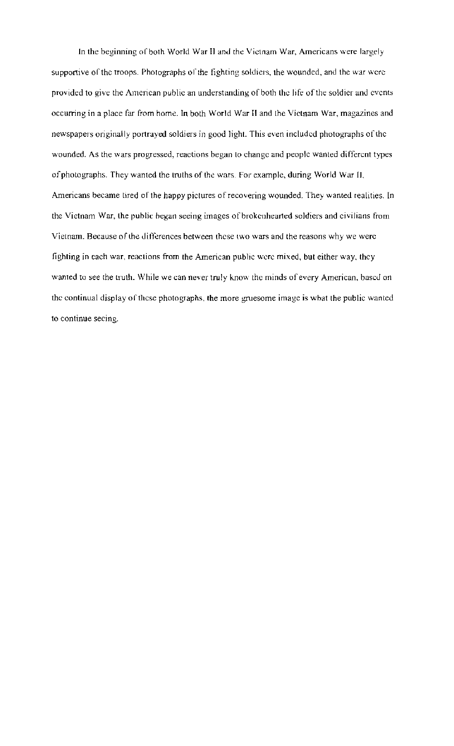In the beginning of both World War II and the Vietnam War, Americans were largely supportive of the troops. Photographs of the fighting soldiers, the wounded, and the war were provided to give the American public an understanding of both the life of the soldier and events occurring in a place far from home. In both World War II and the Vietnam War, magazines and newspapers originally portrayed soldiers in good light. This even included photographs of the wounded. As the wars progressed, reactions began to change and people wanted different types of photographs. They wanted the truths of the wars. For example, during World War II, Americans became tired of the happy pictures of recovering wounded. They wanted realities. In the Vietnam War, the public hegan seeing images of brokenhearted soldiers and civilians from Vietnam. Because of the differences between these two wars and the reasons why we werc fighting in each war, reactions from the American public were mixed, but either way, they wanted to see the truth. While we can never truly know the minds of every American, based on the continual display of these photographs, the more gruesome image is what the public wanted. to continue seeing.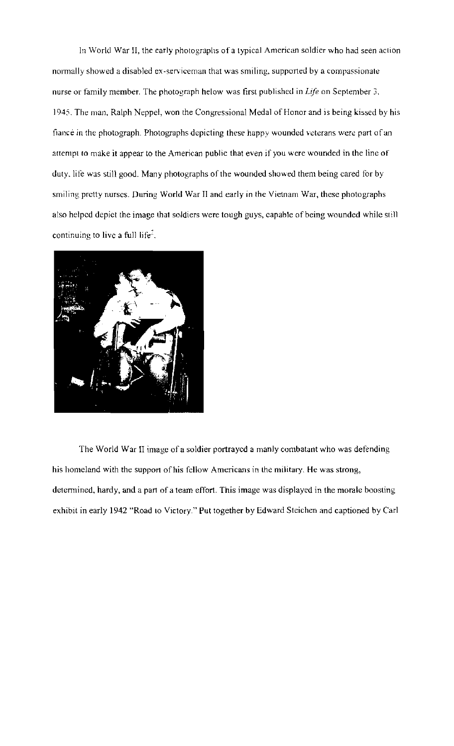In World War II, the early photographs of a typical American soldier who had seen action normally showed a disabled ex-serviceman that was smiling, supported by a compassionate nurse or family member. The photograph helow was first published in *Life* on September 3, 1945. The man, Ralph Neppel, won the Congressional Medal of Honor and is being kissed by his fiance in the photograph. Photographs depicting these happy wounded veterans were part of an attempt to make it appear to the American public that even if you were wounded in the line of duty. life was still good. Many photographs of the wounded showed them being cared for by smiling pretty nurses. During World War II and early in the Vietnam War, these photographs also helped depict the image that soldiers were tough guys, capable of being wounded while still continuing to live a full life<sup> $2$ </sup>.



The World War II image of a soldier portrayed a manly combatant who was defending his homeland with the support of his fellow Americans in the military. He was strong, determined, hardy, and a part of a team effort. This image was displayed in the morale boosting exhibit in early 1942 "Road to Victory." Put together by Edward Steichen and captioned by Carl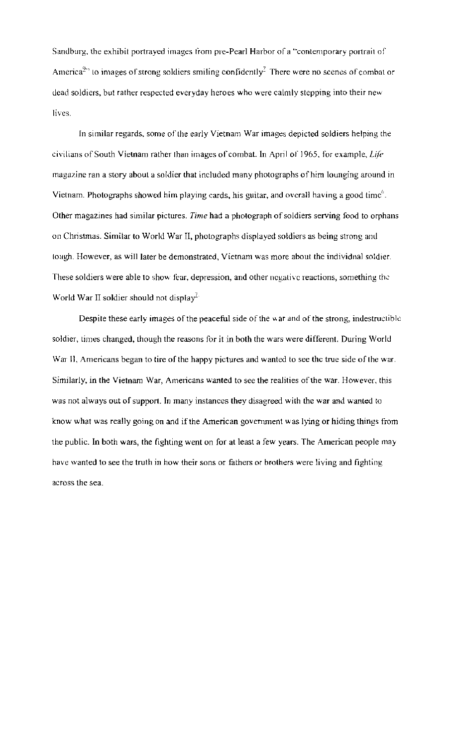Sandburg. the exhibit portrayed images from pre-Pearl Harbor of a '"contemporary portrait of America<sup>9</sup>: to images of strong soldiers smiling confidently<sup>7</sup> There were no scenes of combat or dead soldiers, but rather respected everyday heroes who were calmly stepping into their new lives.

In similar regards, some of the early Vietnam War images depicted soldiers helping the civilians of South Vietnam rather than images of combat. In April of 1965, for example, *Lile*  magazine ran a story about a soldier that included many photographs of him lounging around in Vietnam. Photographs showed him playing cards, his guitar, and overall having a good time<sup>6</sup>. Other magazines had similar pictures. *Time* had a photograph of soldiers serving food to orphans on Christmas. Similar to World War II, photographs displayed soldiers as being strong and tough. However, as will later be demonstrated, Vietnam was morc about the individnal soldier. These soldiers were able to show fear, depression, and other negative reactions, something the World War II soldier should not display<sup> $\mathcal{I}$ -</sup>

Despite these early images of the peaceful side of the  $\kappa$  ar and of the strong, indestructible soldier, times changed, though the reasons for it in both the wars were different. During World War **11,** Americans began to tire of the happy pictures and wanted to see the true side of the war. Similarly, in the Vietnam War, Americans wanted to see the realities of the war. However, this was not always out of support. In many instances they disagreed with the war and wanted to know what was really going on and if the American government was lying or hiding things from the public. In both wars, the fighting went on for at least a few years. The American people may have wanted to see the truth in how their sons or fathers or brothers were living and fighting across the sea.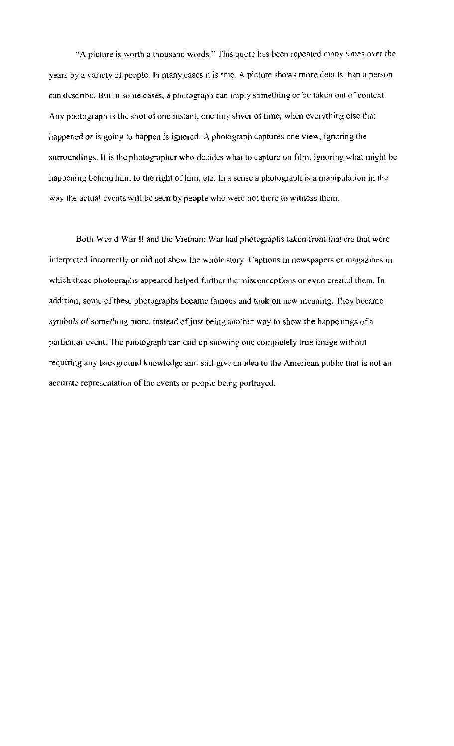"A picture is worth a thousand words." This quote has been repeated many times over the years by a variety of people. In many eases it is true. A picture shows more details than a person can describe. But in some cases, a photograph can imply something or be taken out of context. Any photograph is the shot of one instant, one tiny sliver of time, when everything else that happened or is going 10 happen is ignored. A photograph captures one view, ignoring the surroundings. It is the photographer who decides what to capture on film, ignoring what might be happening behind him, to the right of him, etc. In a sense a photograph is a manipulation in the way the actual events will be seen by people who were not there to witness them.

Both World War II and the Vietnam War had photographs taken from that era that were. interpreted incorrectly or did not show the whole story. Captions in newspapers or magazines in which these photographs appeared helped further the misconceptions or even created them. In addition, some of these photographs became famous and took on new meaning. They hecame symbols of something more, instead of just being another way to show the happenings of a particular event. The photograph ean end up showing one completely true image without requiring any background knowledge and still give an idea to the American public that is not an accurate representation of the events or people being portrayed,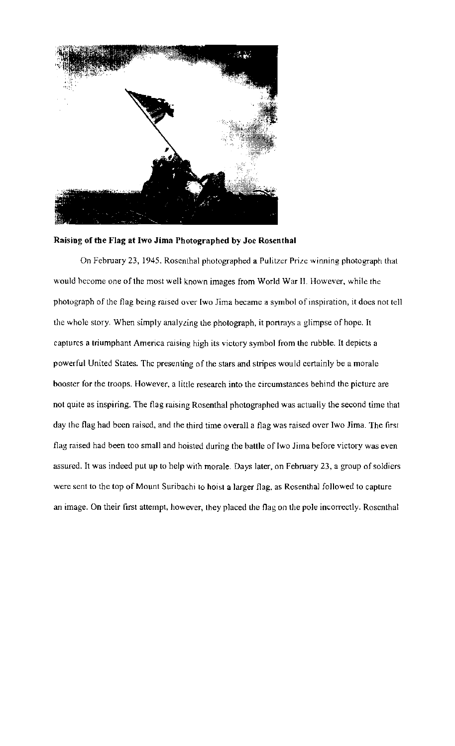

### Raising of the Flag at Iwo Jima Photographed by Joe Rosenthal

On February 23, 1945. Rosenthal photographed a Pulitzer Prize winning photograph that would become one of the most well known images from World War II. However, while the photograph of the flag being raised over (wo lima became a symbol of inspiration, it does not tell the whole story. When simply analyzing the photograph, it portrays a glimpse of hope. It captures a triumphant America raising high its victory symbol from the rubble. It depicts a powerful United States. The presenting of the stars and stripes would certainly be a morale booster for the troops. However, a little research into the circumstances behind the picture are not quite as inspiring. The flag raising Rosenthal photographed was actually the second time that day the flag had been raised, and the third time overall a flag was raised over Iwo lima. The first flag raised had been too small and hoisted during the battle of Iwo Jima before victory was even assured. It was indeed put up to help with morale. Days later, on February 23, a group of soldiers wcre sent to the top of Mount Suribachi to hoist a larger flag. as Rosenthal followed to capture an image. On their first attempt, however, they placed the flag on the pole incorrectly. Rosenthal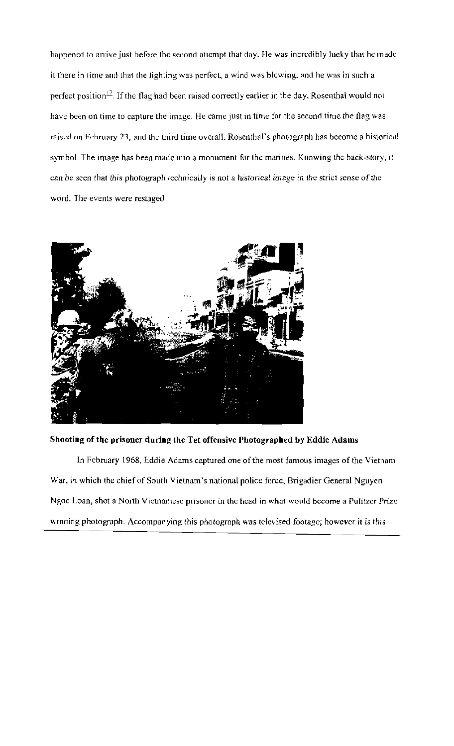happened to arrive just before the second attempt that day. He was incredibly lucky that he made it there in time and that the lighting was perfect, a wind was blowing, and he was in such a perfect position<sup>17</sup>. If the flag had been raised correctly earlier in the day, Rosenthal would not have been on time to capture the image. He came just in time for the second time the flag was raised on February 23, and the third time overall. Rosenthal's photograph has become a historical symbol. The image has been made into a monument for the marines. Knowing the back-story, it can be seen that this photograph technically is not *a* historical image in the strict sense of the word. The events were restaged.



Shooting of the prisoner during the Tet offensive Photographed by Eddie Adams

In February 1968, Eddie Adams captured one of the most famous images of the Vietnam War, in which the chief of South Vietnam's national police force, Brigadier General Nguyen Ngoc Loan, shot a North Vietnamese prisoner in the head in what would become a Pulitzer Prize winning photograph. Accompanying this photograph was televised footage; however il is this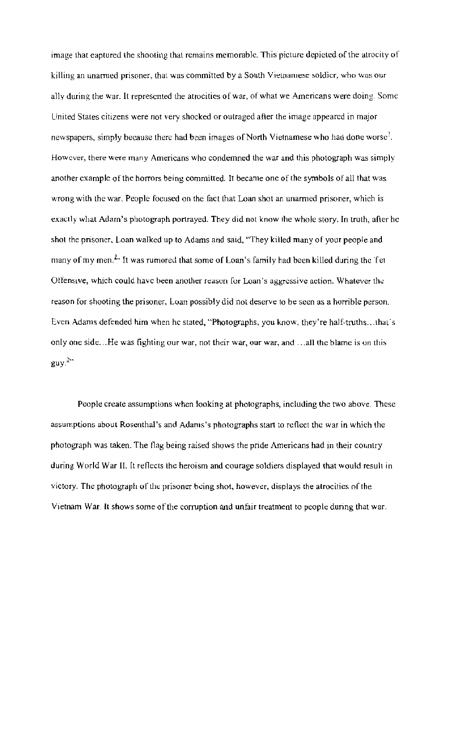image that eaptured the shooting that remains memorable. This picture depieted of the atrocity of killing an unarmed prisoner, that was committed by a South Vielnamese soldier, who was our ally during the war. It represented the atrocities of war, of what we Americans were doing. Some United States citizens were not very shocked or outraged after the image appeared in major newspapers, simply because there had been images of North Vietnamese who had done worse<sup>2</sup>. However, there were many Americans who condemned the war and this photograph was simply another example of the horrors being committed. It became one of the symbols of all that was wrong with the war. People focused on the fact that Loan shot an unarmed prisoner, which is exactly what Adam's photograph portrayed. They did not know the whole story. In truth, after he shot the prisoner, Loan walked up to Adams and said, "They killed many of your people and many of my men.<sup>2</sup>. It was rumored that some of Loan's family had been killed during the Tet Offensive, which could have been another reason for Loan's aggressive action. Whatever the reason for shooting the prisoner, Loan possibly did not deserve to be seen as a horrible person. Even Adams defended him when he stated, "Photographs, you know, they're half-truths...that's only one side...He was fighting our war, not their war, our war, and ... all the blame is on this  $guy.<sup>2</sup>"$ 

People create assumptions when looking at photographs, including the two above. These assumptions about Rosenthal's and Adams's photographs start to reflect the war in which the photograph was taken. The flag being raised shows the pride Americans had in their country during World War II. It reflects the heroism and courage soldiers displayed that would result in victory. The photograph of the prisoner being shot, however, displays the atrocities of the Vietnam War. It shows some of the corruption and unfair treatment to people during that war.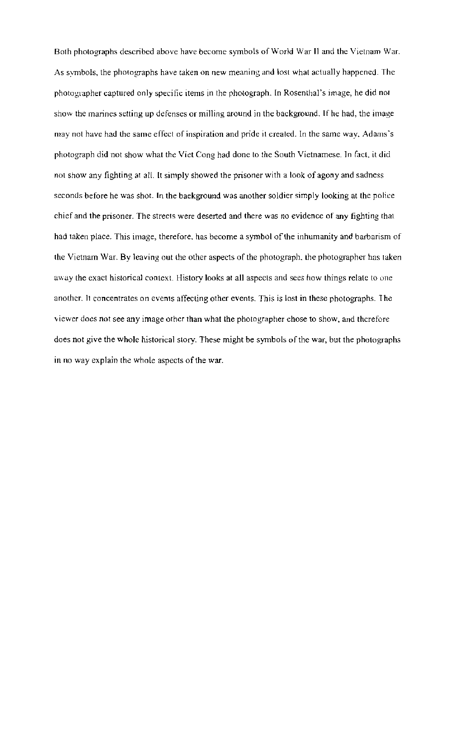Both photographs described above have become symbols of World War II and the Vietnam War. As symbols, the photographs have taken on new meaning and lost what actually happened. The photographer captured only specific items in the photograph. In Rosenthal's image, he did not show the marines setting up defenses or milling around in the background. If he had, the image may not have had the same effect of inspiration and pride il created. In the same way. Adams's photograph did not show what the Viet Cong had done to the South Vietnamese. In fact. it did not show any fighting at aiL It simply showed the prisoner with a look of agony and sadness seconds before he was shot. In the baekground was another soldier simply looking at the police chief and the prisoner. The streets were deserted and there was no evidence of any fighting that had taken place. This image, therefore, has become a symbol of the inhumanity and barbarism of the Vietnam War. By leaving out the other aspects of the photograph. the photographer has taken away the exact historical context. History looks at all aspects and sees how things relate to one another. It concentrates on events alTecling other events. This is lost in these photographs. The viewer does not see any image other than what the photographer chose to show, and thcrefore does not give the whole historical story. These might be symbols of the war, but the photographs in no way explain the whole aspects of the war.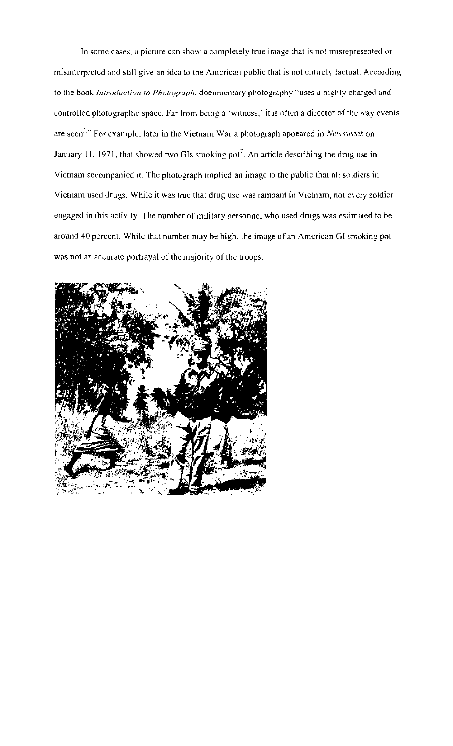In some cases, a picture can show a completely true image that is not misrepresented or misinterpreted and still give an idea to the Amcrican public that is not entirely factual. According to the book *Introduction to Photograph*, doeumentary photography "uses a highly charged and controlled photographic space. Far from being a 'witness,' it is often a director of the way events are seen<sup>3.</sup>" For example, later in the Vietnam War a photograph appeared in *Newsweek* on January 11, 1971, that showed two GIs smoking pot<sup>7</sup>. An article describing the drug use in Vietnam accompanied it. The photograph implied an image to the public that all soldiers in Vietnam used drugs. While it was true that drug use was rampant in Vietnam, not every soldier engaged in this activity. The number of military personnel who used drugs was estimated to be around 40 percent. While that number may be high, the image of an American GI smoking pot was not an accurate portrayal of the majority of the troops.

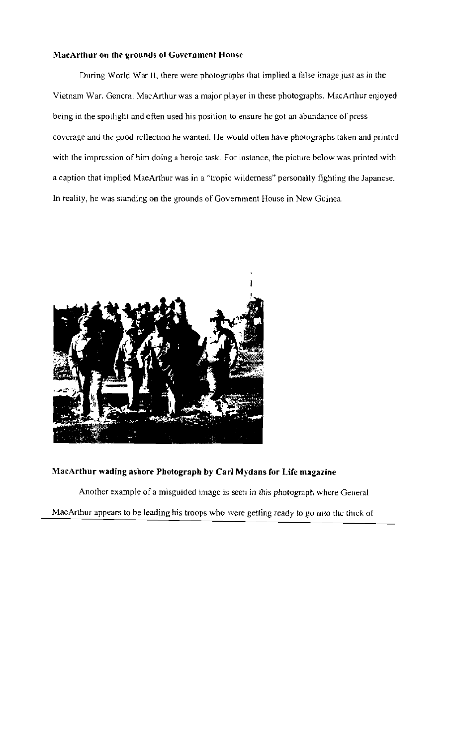#### **MacArthur on the grounds** or Government **House**

During World War II, there were photographs that implied a false image just as in the Vietnam War. General MacArthur was a major player in these photographs. MacArthur enjoyed being in the spotlight and often used his position to ensure he got an abundance of press coverage and the good reflection he wanted. He would often have photographs taken and printed with the impression of him doing a heroic task. For instance, the picture below was printed with a caption that implied MaeArthur was in a "tropic wilderness" personally fighting the Japanese. In reality, he was standing on the grounds of Govemment House in New Guinea.



## **MaCArthur wading ashore Photograph by Carl Mydans for Life magazine**

Another example of a misguided image is seen in this photograph where General

MacArthur appears to be leading his troops who were getting ready to go into the thick of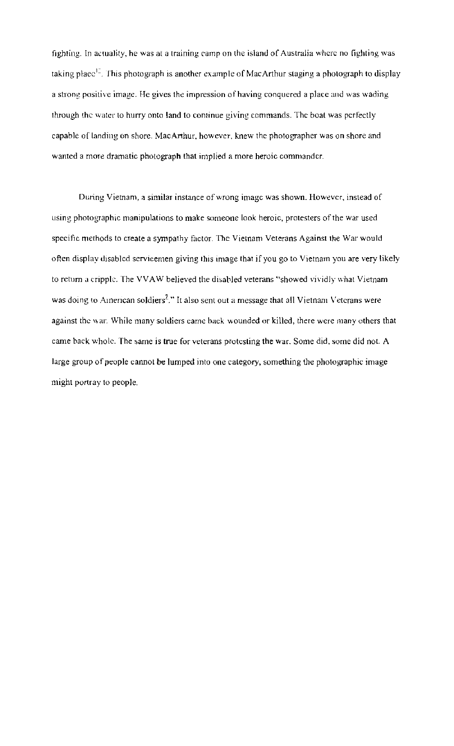fighting. In actuality, he was at a training camp on the island of Australia where no fighting was taking place<sup>15</sup>. This photograph is another example of MacArthur staging a photograph to display a strong positive image. He gives the impression of having conquered a place and was wading through the water to hurry onto land to cominue giving commands. The boat was perfectly capable of landing on shore. MacArthur, however, knew the photographer was on shore and wanted a more dramatic photograph that implied a more heroic commandcr.

During Vietnam, a similar instance of wrong imagc was shown. However, instead of using photographic manipulations to make someone look heroic, protesters of the war used specific methods to create a sympathy factor. The Vietnam Veterans Against the War would often display disabled servicemen giving Ihis image that if you go to Vietnam you are very likely to return a cripple. The VVAW believed the disabled veterans "showed vividly what Vietnam was doing to American soldiers<sup>2</sup>." It also sent out a message that all Vietnam Veterans were against the war. While many soldiers came back wounded or killed, there were many others that came back whole. The same is true for veterans protesting the war. Some did. some did not. A large group of people cannot be lumped into one category, something the photographic image might portray to people.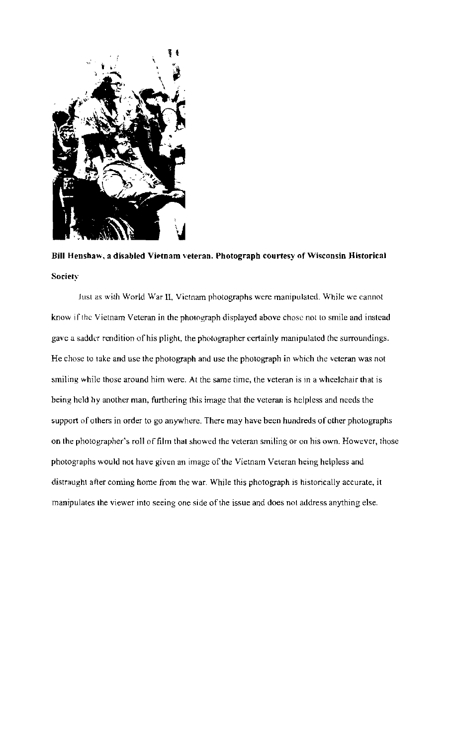

Bill Henshaw, a disabled Vietnam veteran. Photograph courtesy of Wisconsin Historical Society

Just as with World War II, Vietnam photographs were manipulated. Whjle we cannot know if the Vietnam Veteran in the photograph displayed above chose not to smile and instead gave a sadder rendition of his plight, the photographer certainly manipulated the surroundings. He chose to take and use the photograph and use the photograph in which the veteran was not smiling while those around him were. At the same time, the veteran is in a wheelchair that is being held hy another man, furthering this image that the veteran is helpless and needs the support of others in order to go anywhere. There may have been hundreds of other photographs on the photographer's roll of film that showed the veteran smiling or on his own. However, those photographs would not have given an image of the Vietnam Veteran heing helpless and distraught after coming home from the war. While this photograph is historically accurate, it manipulates the viewer into seeing one side of the issue and does not address anything else.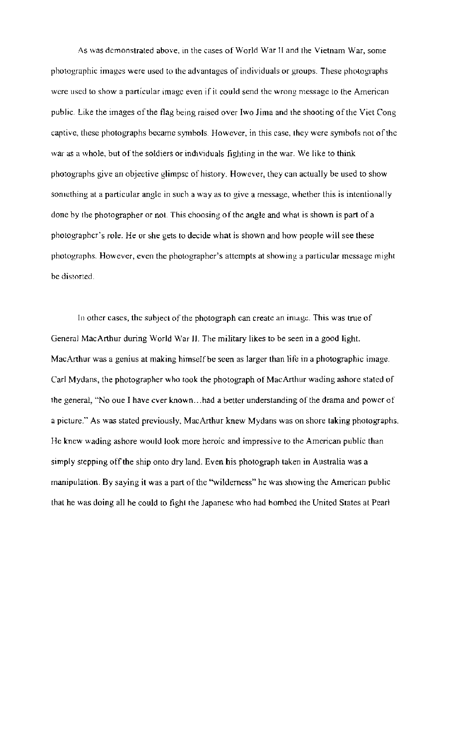As was demonstrated above, in the cases of World War II and the Vietnam War, some photographic images were used to the advantages of individuals or groups\_ These photographs were used to show a particular image even if it could send the wrong message to the American public. Like the images of the flag being raised over Iwo Jima and the shooting of the Viet Cong captive, these photographs became symbols\_ However, in this case, they were symbols not of the war as a whole, but of the soldiers or individuals fighting in the war. We like to think photographs give an objeetive glimpsc of history. However, they can actually be used to show something at a particular angle in such a way as to give a message, whether this is intentionally done by the photographer or not. This choosing of the angle and what is shown is part of a photographcr's role. He or she gets to decide what is shown and how people will see these photographs. However, even the photographer's attempts at showing a particular message might be distorted.

In other cases, the subject of the photograph can create an image. This was true of General MacArthur during World War II. The military likes to be seen in a good light. MacAnhur was a genius at making himself be seen as larger than life in a photographic image. Carl Mydans, the photographer who took the photograph of MacAnhur wading ashore stated of the general, "No oue I have ever known ... had a better understanding of the drama and power of a picture." As was stated previously, MacAnhur knew Mydans was on shore taking photographs. He knew wading ashore would look more heroic and impressive to the American public than simply stepping off the ship onto dry land. Even his photograph taken in Australia was a manipulation. By saying it was a part of the '"wilderness" he was showing the American public that he was doing all he could to fight the Japanese who had bombed the United States at Pearl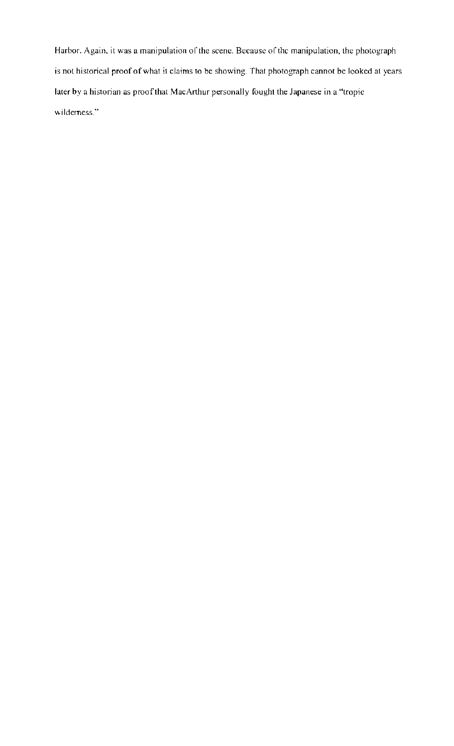Harbor. Again. it was a manipulation of' the scene. Because of' thc manipulation. the photograph is not historical proof of what it claims to be showing. That photograph cannot be looked at years later by a historian as proof that MacArthur personally fought the Japanese in a "tropic  $w$ ilderness."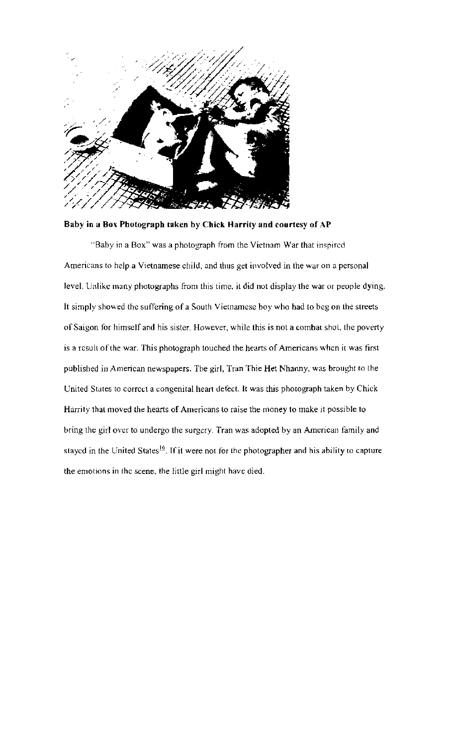

Baby in a Box Photograph taken by Chick Harrity and courtesy of AP

"Baby in a Box" was a photograph from the Vietnam War that inspired Americans to help a Vietnamese child, and thus get involved in the war on a personal level. Unlike many photographs from this time, it did not display the war or people dying. It simply showed the suffering of a South Vietnamese boy who had to beg on the streets of Saigon for himself and his sister. However, while this is not a combat shot, the poverty is a result of the war. This photograph touched the hearts of Americans when it was first published in American newspapers. The girl, Tran Thie Het Nhanny, was brought to the United States to correct a congenital heart defect. It was this photograph taken by Chick Harrity that moved the hearts of Americans to raise the money 10 make it possible to bring the girl over to undergo the surgery. Tran was adopted by an American family and stayed in the United States<sup>16</sup>. If it were not for the photographer and his ability to capture the emotions in the scene, the little girl might have died,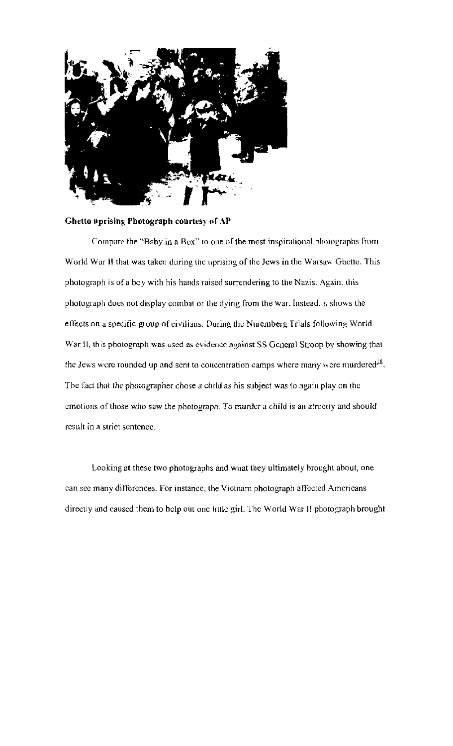

#### Ghetto uprising Photograph courtesy of AP

Compare the "Baby in a Box" to one of the most inspirational photographs from World War II that was taken during the uprising of the Jews in the Warsaw Ghetto. This photograph is of a boy with his hands raised surrendering to the Nazis. Again, this photograph does not display combat or the dying from the war. Instead. It shows the effects on a specific group of civilians. During the Nuremberg Trials following World War II, this photograph was used as evidence against SS Gcneral Stroop by showing that the Jews were rounded up and sent to concentration camps where many were murdered<sup>18</sup>. The fact that the photographer chose a child as his subject was to again play on the emotions of those who saw the photograph. To murder a child is an atroeity and should result in a slrier sentence.

Looking at these two photographs and what lhey ultimately brought about, one can see many differences. For instance, the Vietnam photograph affected Americans directly and caused them to help out one little girL The World War II photograph brought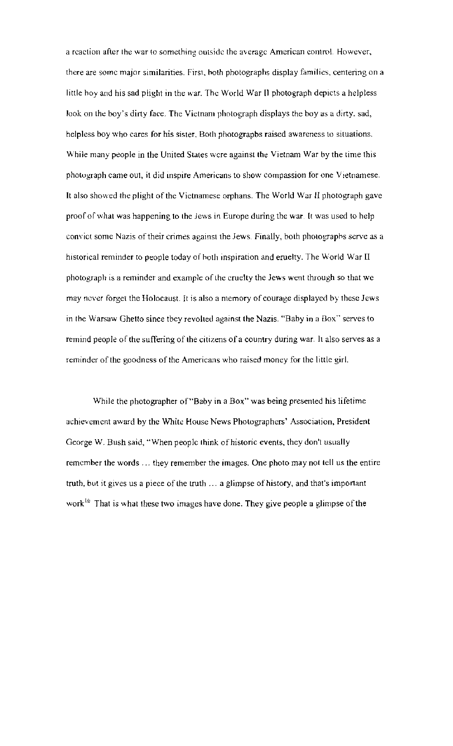a reaction after the war to something outside the average American controL However, there are some major similarities. Firsl, hoth photographs display families, centering on a little hoy and his sad plight in the war. The World War 11 photograph depicts a helpless look on the boy's dirty face. The Vietnam photograph displays the boy as a dirty, sad, helpless boy who cares for his sister. Both photographs raised awareness to situations. While many people in the United States were against the Vietnam War by the time this photograph came out, it did inspire Americans to show compassion for one Vietnamese. It also showed the plight of the Vietnamese orphans. The World War 1I photograph gave proof of what was happening to the *lews* in Europe during the war. It was used to help convict some Nazis of their crimes against the Jews. Finally, both photographs serve as a historical reminder to people today of both inspiration and eruelty. The World War II photograph is a reminder and example of the cruelty the Jews went through so that we may never forget the Holocaust. It is also a memory of courage displayed by these Jews in the Warsaw Ghetto since they revolted against the Nazis. "Baby in a Box" serves to remind people of the suffering of the citizens of a country during war. It also serves as a reminder of the goodness of the Americans who raised money for the little girl.

While the photographer of "Baby in a Box" was being presented his lifetime achievement award by the White House News Photographers' Association, President George W. Bush said, "When people think of historic events, they don't usually remember the words ... they remember the images. One photo may not tell us the entire truth, but it gives us a piece of the truth ... a glimpse of history, and that's important work<sup>16</sup> That is what these two images have done. They give people a glimpse of the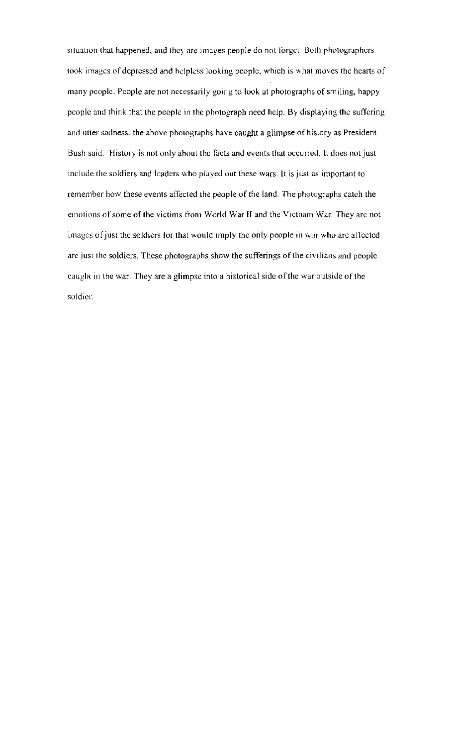situation that happened, and they are images people do not forget. Both photographers took images of depressed and helpless looking people, which is what moves the hearts of many people. People are not necessarily going to look at photographs of smiling, happy people and think that the people in the photograph need help. By displaying the suffering and utter sadness, the above photographs have caught a glimpse of history as President Bush said. History is not only about the facts and events that occurred. It does not just include the soldiers and leaders who played out these wars. It is just as important to remember how these events affected the people of the land. The photographs catch the emotions of some of the victims from World War II and the Vietnam War. They arc not images of just the soldiers for that would imply the only people in war who are affected are just the soldiers. These photographs show the sufferings of the civilians and people caught in the war. They are a glimpse into a historical side of the war outside of the soldier.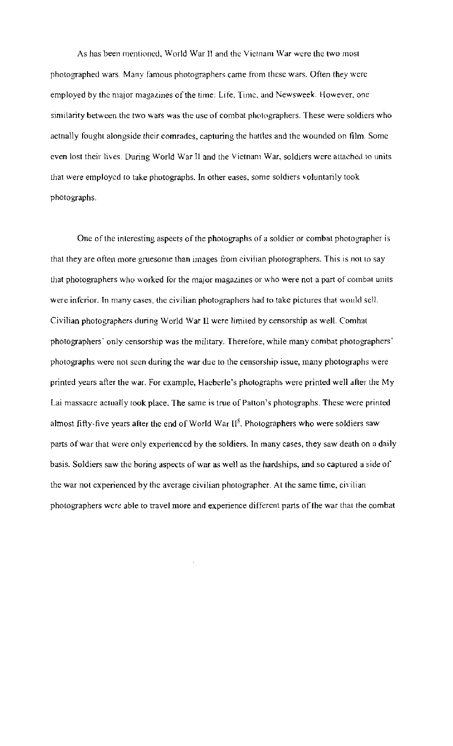As has been mentioned. World War II and the Vietnam War were the two most photographed wars. Many famous photographers came from these wars. Often they were employed by the major magazines of the time: Life, Time, and Newsweek. However, one similarity between the two wars was the use of combat photographers. These were soldiers who actnally fought alongside their comrades, capturing the hattles and the wounded on film. Some even lost their lives. During World War II and the Vietnam War, soldiers were attached to units that were employed to take photographs. In other eases, some soldiers voluntarily took photographs.

One of the interesting aspeets of the photographs of a soldier or combat photographer is that they are often more gruesome than images from civilian photographers. This is not to say that photographers who worked for the major magazines or who were not a part of combat units were inferior. In many cases, the civilian photographers had to take pictures that would sell. Civilian photographers during World War II were limited by censorship as well. Comhat photographers' only censorship was the military. Therefore, while many combat photographers' photographs were not seen during the war due to the censorship issue, many photographs were printed years after the war. For example, Haeberle's photographs were printed well after the My Lai massacre actually took place. The same is true of Patton's photographs. These were printed almost fifty-five years after the end of World War  $II^8$ . Photographers who were soldiers saw parts of war that were only experienced by the soldiers. In many cases, they saw death on a daily basis. Soldiers saw the boring aspects of war as well as the hardships, and so captured a side of the war not experienced by the average civilian photographer. At the same time, civilian photographers were able to travel more and experience different parts of the war that the combat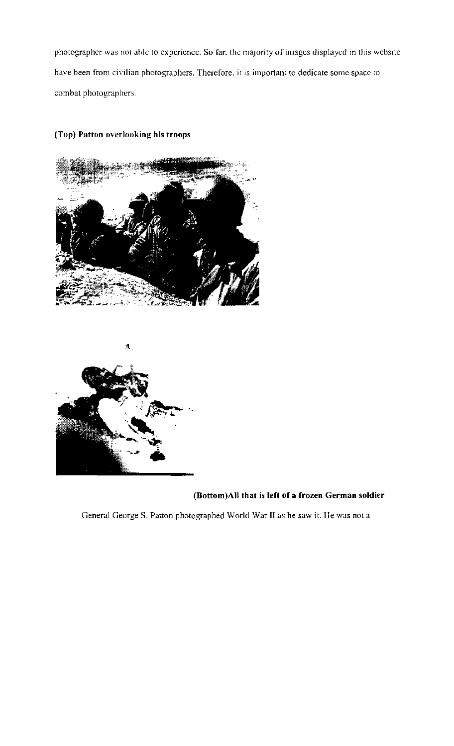photographer was not able to experience. So far, the majority of images displayed in this website have been from civilian photographers. Therefore, it is important to dedicate some space to combat photographers.

# (Top) Patton overlooking his troops





## (Bottom)AII that is left of a frozen German soldier

General George S. Patton photographed World War II as he saw it. He was not a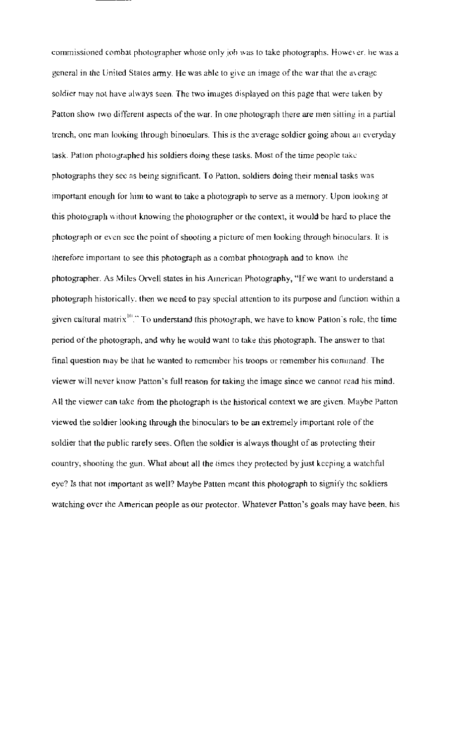commissioned combat photographer whose only job was to take photographs. However, he was a general in the United States army. He was able to give an image of the war that the averagc soldier may not have always seen. The two images displayed on this page that were taken by Patton show two different aspects of the war. In one photograph there are men sitting in a partial trench, one man looking through binoeulars. This is the average soldier going about an everyday task. Patton photographed his soldiers doing these tasks. Most of the time people lake photographs they see as being significant. To Patton, soldiers doing their menial tasks was important enough for him to want to take a photograph to serve as a memory. Upon lookmg at this photograph without knowing the photographer or the context, it would be hard to place the photograph or even see the point of shooting a picture of men looking through binoculars. It is therefore important to see this photograph as a combat photograph and to know the photographer. As Miles Orvell states in his American Photography, "If we want to understand a photograph historically, then we need to pay special attention to its purpose and function within a given cultural matrix  $\mathbb{R}^n$ ." To understand this photograph, we have to know Patton's role, the time period of the photograph, and why he would want to take this photograph. The answer to that final question may be that he wanted to remember his troops or remember his command. The viewer will never know Patton's full reason for taking the image since we cannot read his mind. All the viewer can take from the photograph is the historical context we are given. Maybe Patton viewed the soldier looking through the binoculars to be an extremdy important role of the soldier that the public rarely sees. Often the soldier is always thought of as protecting their country, shooting the gun. What about all the times they protected by just kceping a watchful eye? Is that not important as well? Maybe Patten meant this photograph to signify the soldiers watching over the American people as our protector. Whatever Patton's goals may have been, his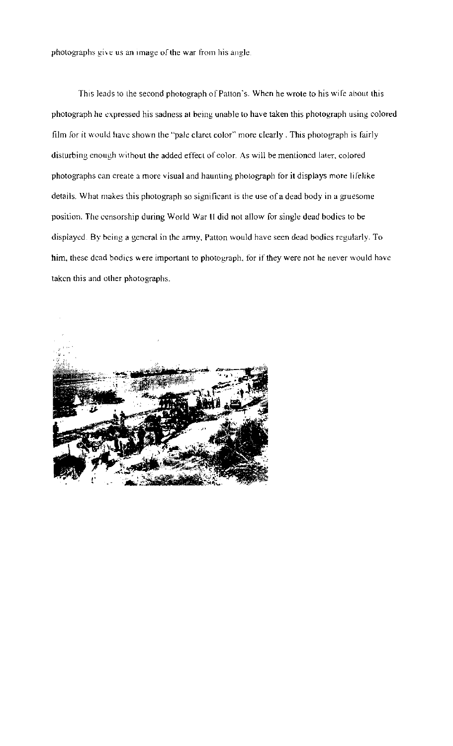photographs give us an image of the war from his angle.

This leads to the second photograph of Patton's. When he wrote to his wife about this photograph he expressed his sadness at being unable to have taken this photograph using colored film for it would have shown the "pale claret color" more clearly. This photograph is fairly disturbing enough without the added effect of eolor. As will be mentioned later. colored photographs can ereate a more visual and haunting photograph for it displays more lifelike details. What makes this photograph so significant is the use of a dead body in a gruesome position. The censorship during World War II did not allow for single dead bodies to be displayed. By being a general in the army, Patton would have seen dead bodies regularly. To him, these dead bodies were important to photograph, for if they were not he never would have taken this and other photographs.

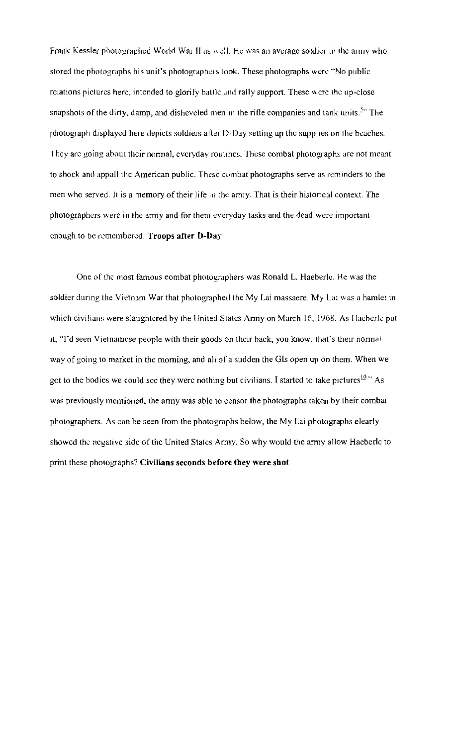Frank Kessler photographed World War II as well. He was an average soldier in the army who stored the photographs his unit's photographers took. These photographs were "No public relations pictures here, intended to glorify battle and rally support. These were the up-close snapshots of the dirty, damp, and disheveled men in the rifle companies and tank units.<sup>54</sup> The photograph displayed here depicts soldiers alter D-Day setting up the supplies on the beaches. They are going about their normal, everyday routines. These combat photographs are not meant to shoek and appall the American public. These combat photographs serve as reminders to the men who served. It is a memory of their life in the army. That is their historical context. The photographers were in the army and for them everyday tasks and the dead were important enough to be remembered. Troops after D-Day

One of the most famous eombat photographers was Ronald L. Haeberle. He was the soldier during the Vietnam War that photographed the My Lai massaere. My Lai was a hamlet in which civilians were slaughtered by the United States Army on March 16. 1968. As Haeberle put it, ''I'd seen Vietnamese people with their goods on their back, you know. that's their normal way of going to market in the morning, and all of a sudden the GIs open up on them. When we got to the bodies we could sec they were nothing but civilians. I started to take pictures  $10^{10}$  As was previously mentioned, the army was able to censor the photographs taken by their combat photographers. As can be seen from the photographs below, the My Lai photographs elearly showed the negative side of the United States Army. So why would the army allow Haeberle to print these photographs? Civilians seconds before they were shot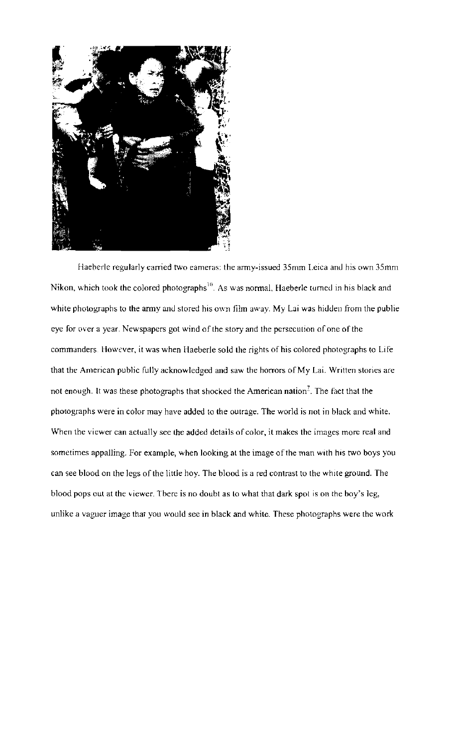

Haeberle regularly carried two eameras: the army-issued 35mm Leica and his own 35mm Nikon, which took the colored photographs<sup>10</sup>. As was normal, Haeberle turned in his black and white photographs to the army and stored his own film away. My Lai was hidden from the publie eye for over a year. Newspapers got wind of the story and the persecution of one of the commanders. However, it was when Haeberle sold the rights of his colored photographs to Life that the American public fully acknowledged and saw the horrors of My Lai. Written stories are not enough. It was these photographs that shocked the American nation<sup>2</sup>. The fact that the photographs were in color may have added to the outrage. The world is not in black and white. When the viewer can actually see the added details of color, it makes the images more real and sometimes appalling. For example, when looking at the image of the man with his two boys you can see blood on the legs of the little hoy. The blood is a red contrast to the white ground. The blood pops out at the viewer. Tbere is no doubt as to what that dark spot is on the boy's leg, unlike a vaguer image that you would see in black and white. These photographs were the work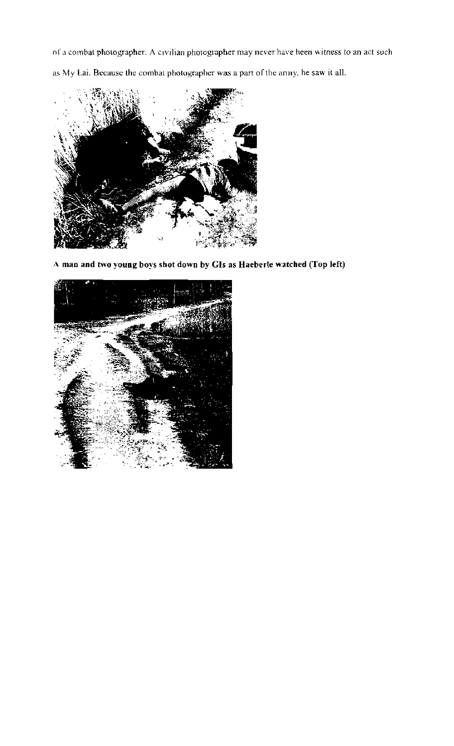of a combat photographer. A civilian photographer may never have heen witness to an act such as My Lai. Because the combat photographer was a part of the anny, he saw it all.



**A man and two young boys shot down by Gis as Haeberle watched (Top left)** 

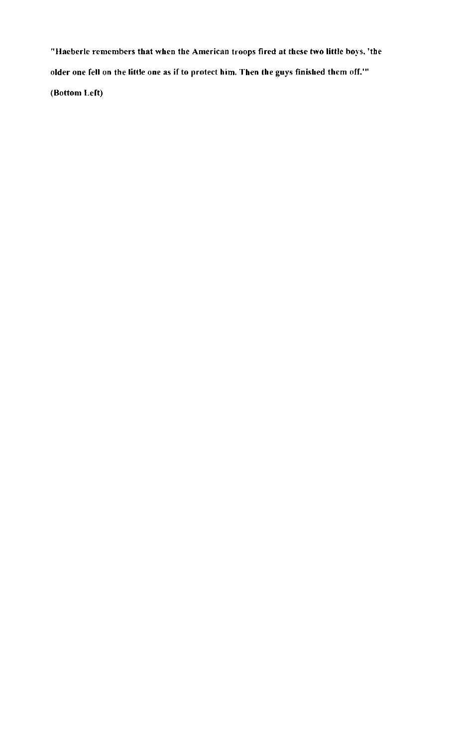"Haeberle remembers that when the American troops fired at these two little boys. 'the older one fell on the little one as if to protect him. Then the guys finished them off.'" (Bottom Left)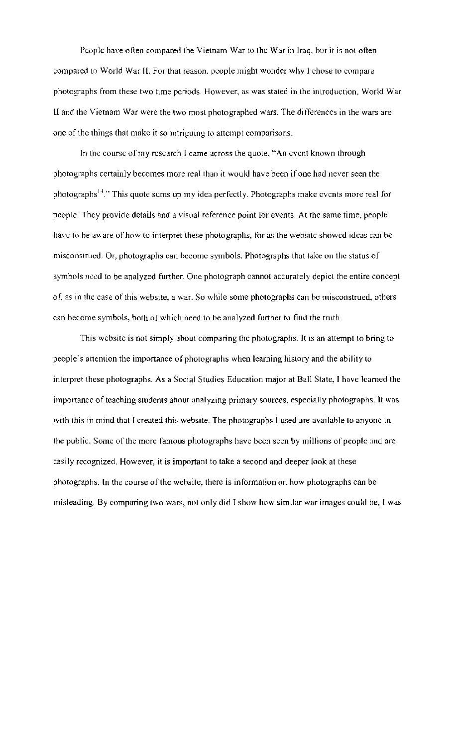People have often compared the Vietnam War to the War in Iraq, but it is not often compared to World War II. For that reason, people might wonder why I chose to compare photographs from these two time periods. However, as was stated in the introduction, World War II and the Vietnam War were the two most photographed wars. The di fferences in the wars are one of the Ihings that make it so intriguing to attempt comparisons.

In the course of my research I came across the quote, "An event known through photographs certainly becomes more real than it would have been if one had never seen the photographs<sup>14</sup>." This quote sums up my idea perfectly. Photographs make events more real for pcople. Thcy provide details and a visual reference point for events. At the same time, people have to be aware of how to interpret these photographs, for as the websitc showed ideas can be misconstrued. Or, photographs can become symbols. Photographs that take on the status of symbols need to be analyzed further. One photograph cannot accurately depict the entire concept of, as in the case of this website, a war. So while some photographs can be misconstrued, others can become symbols, both of which need to be analyzed further to find the truth.

This website is not simply about comparing the photographs. It is an attempt to bring to people's attemion the importance of photographs when learning history and the ability to interpret these photographs. As a Social Studies Education major at Ball State, I have learned the importancc of teaching students ahout analyzing primary sources, especially photographs. It was with this in mind that I created this website. The photographs I used are available to anyone in the public. Some of the more famous photographs have been seen by millions of people and are easily recognized. However, it is important to take a second and deeper look at these photographs. In the course of the website, there is infonnation on how photographs can be misleading. By comparing two wars, not only did I show how simllar war images could be, I was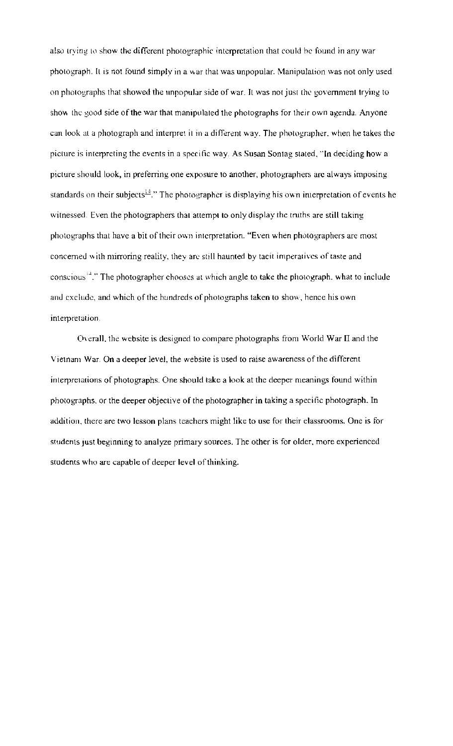also trying to show the different photographic interpretation that could be found in any war photograph. It is not found simply in a war that was unpopular. Manipulation was not only used on photographs that showed the unpopular side of war. It was not just the government trying to show the good side of the war that manipulated the photographs for their own agenda. Anyone can look at a photograph and interpret it in a different way. The photographer, when he takes the picture is interpreting the events in a specific way. As Susan Sontag stated. "In deciding how a picture should look, in preferring one exposure to another, photographers arc always imposing standards on their subjects<sup>14</sup>." The photographer is displaying his own interpretation of events he witnessed. Even the photographers that attempt to only display the truths are still taking photographs that have a bit of their own interpretation. "Even when photographers are most concerned with mirroring reality, they are still haunted by tacit imperatives of taste and conscious<sup> $^{14}$ </sup>." The photographer chooses at which angle to take the photograph, what to include and exclude, and which of the hundreds of photographs taken to show, hence his own interpretation.

(Overall, the website is designed to compare photographs from World War II and the Vietnam War. On a deeper level, the website is used to raise awareness of the different interpretations of photographs. One should take a look at the deeper meanings found within photographs, or the deeper objective of the photographer in taking a speci fic photograph. In addition. there are two lesson plans teachers might like to use for their classrooms. One is for students just beginning to analyze primary sources. The other is for older, more experienced students who are capable of deeper level of thinking.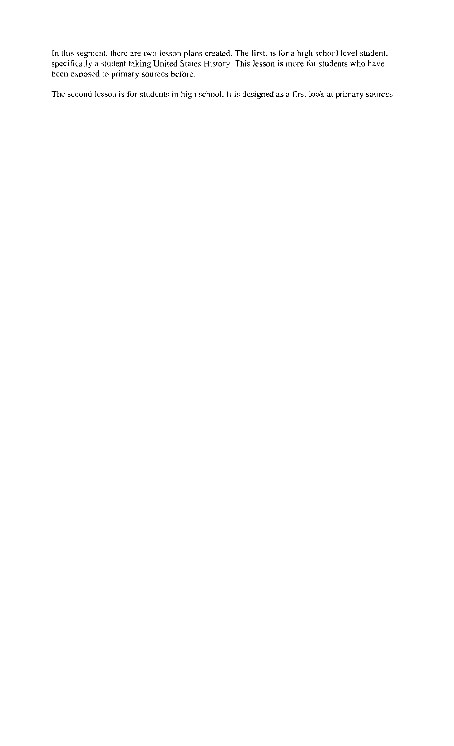In this segment, there are two lesson plans created. The first, is for a high school level student, specifically a student taking United States History. This lesson is more for students who have been exposed to primary sources before.

The second lesson is for students in high school. It is designed as a first look at primary sources.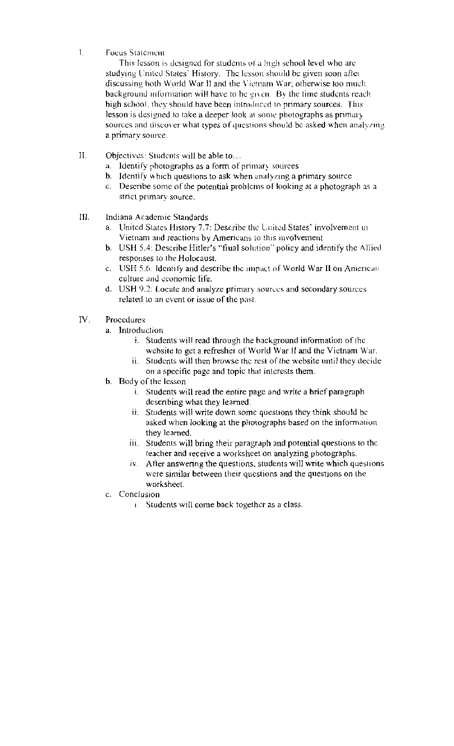I. Focus Statement

This lesson is designed for students of a high school level who are studying United States' History. The lesson should be given soon after discussing both World War II and the Vietnam War; otherwise too much background information will have to he given. By the time students reach high school, they should have been introduced to primary sources. This lesson is designed to take a deeper look at some photographs as primary sources and discover what types of questions should be asked when analyzing a primary source.

- II. Objectives: Students will be able to...
	- a. Identify photographs as a form of primary sources
	- b. Identify which questions to ask when analyzing a primary source
	- c. Describe some of the potential problems or looking at a photograph as a strict primary source.
- Ill. Indiana Academic Standards
	- a. United States History 7.7: Describe the United States' involvement in Vietnam and reactions by Americans to this involvement
	- b. USH 5.4: Describe Hitler's "fiual solution" policy and identify the Allied responses to the Holocaust
	- c. USH 5.6: Identify and describe the impact of World War II on American culture and economic life.
	- d. USH 9.2: Locate and analyze primary sourccs and secondary sources related to an event or issue of the past.
- IV. Procedures
	- a. Introduction
		- i. Students will read through the background information of the website to get a refresher of World War II and the Vietnam War.
		- ii. Students will then browse the rest of the website until they decide on a specific page and topic that interests them.
	- b. Body of the lesson
		- l. Students will read the entire page and write a brief paragraph describing what they learned.
		- it. Students will write down some questions they think should be asked when looking at the photographs based on the information they learned.
		- iii. Students will bring their paragraph and potential questions to the teacher and receive a worksheet on analyzing pbotographs.
		- $iv.$  After answering the questions, students will write which questions were similar between their questions and the questions on the worksheet.
	- c. Conclusion
		- 1. Students will come back together as a class.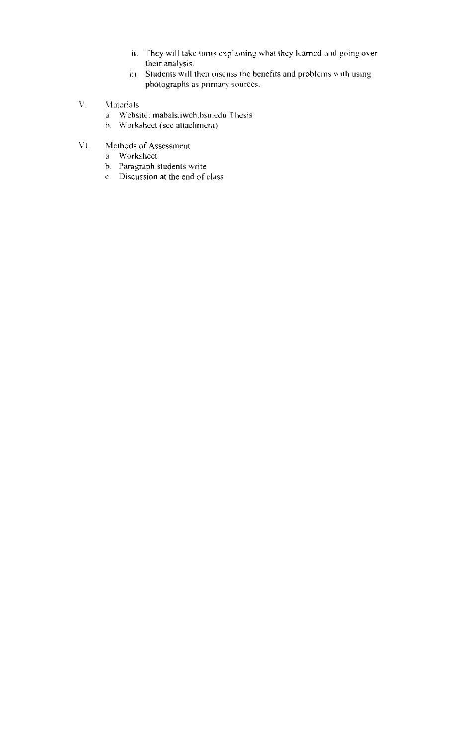- II. They will take tums explaining what they learned and going over their analysis.
- $\lim$ . Students will then discuss the benefits and problems with using pholographs as primary sources.
- V. Materials
	- a. Website: mabals.iweh.bsu.edu/Thesis.
	- b. Worksheet (see attachment)
- VI. Methods of Assessment
	- a Worksheet
	- b. Paragraph students write
	- c. Discussion at the end of class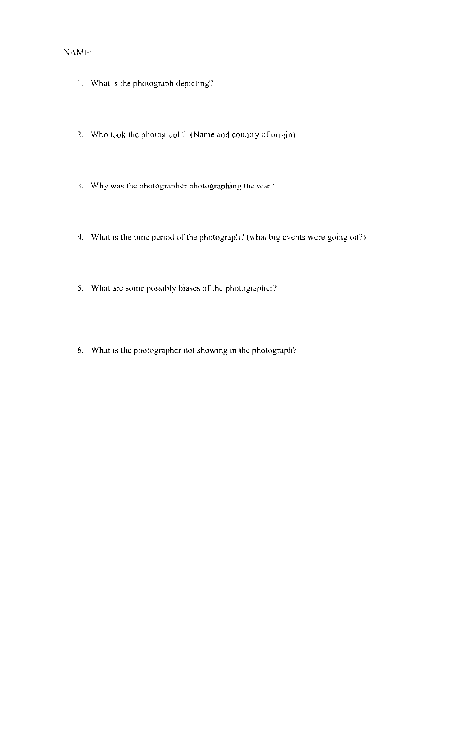## 'lAME.

- 1. What is the photograph depicting?
- 2. Who took the photograph? (Name and country of origin)
- 3. Why was the photographer photographing the war?
- 4. What is the time period of the photograph? (what big events were going on?)
- 5. What are some pussibly biases of the photographer?
- 6. What is the photographer not showing in the photograph?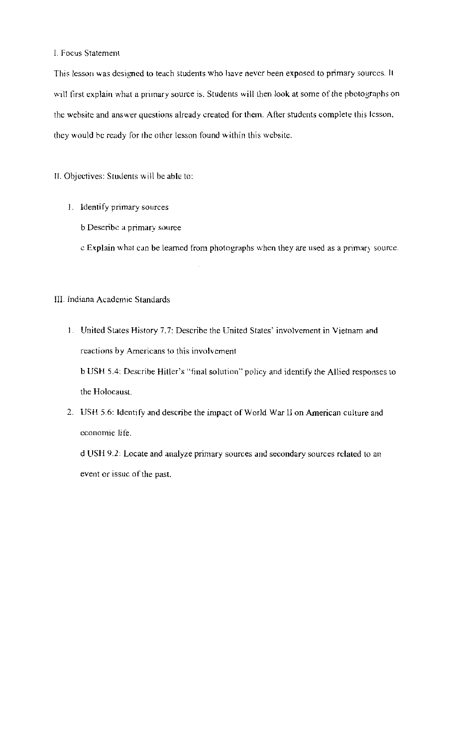#### I. Focus Statement

This lesson was designed to teach students who have never been exposed to primary sources. It will first explain what a primary source is. Students will then look at some of the pbotographs on the website and answer questions already created for them. After students complete this lesson, they would be ready for the other lesson found within this wehsite.

II. Objectives: Stuuents will be able to:

- 1. Identify primary sources
	- b Deseribc a primary source
	- c Explain what can be learned from photographs when they are used as a primary source.

## III. Indiana Academic Standards

1. United States History 7.7: Describe the United States' involvement in Vietnam and reactions by Americans to this involvement

bUSH 5.4: Describe Hitler's "fmal solution" policy and identify the Allied responses to the Holocaust.

2. USH 5.6: Identify and describe the impact of World War II on American culture and economic life.

d USH 9.2: Locate and analyze primary sources and secondary sources related to an event or issuc of the past.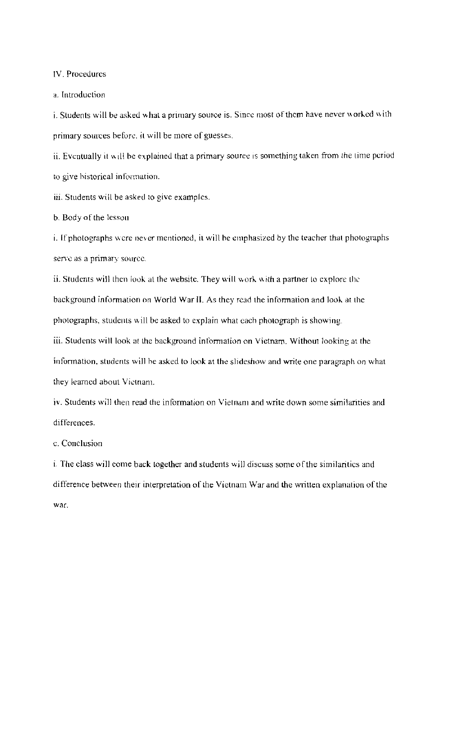IV. Procedures

a. Introduction

i. Students will be asked what a primary source is. Since most of them have never worked with. primary sources before, it will be more of guesses.

ii. Eventually it will be explained that a primary source is something taken from the time period to give bistorical information.

iii. Students will be asked to give examples.

b. Body of the lessou

i. If photographs wcre never mentioned, it will be emphasized by the teacher that photographs serve as a primary source.

ii. Students will then look at the website. They will work with a partner to explore the background information on World War II. As they read the information and look at the photographs, students will be asked to explain what each photograph is showing.

iii. Students will look at the background intorrnalion on Vietnam. Without looking at the information, students will be asked to look at the slideshow and write one paragraph on what they learned about Vietnam.

iv. Students will then read the information on Vietnam and write down some similarities and differences.

c. Conclusion

i. The class will come back together and students will discuss some of the similaritics and difference between their interpretation of the Vietnam War and the written explanation of the war.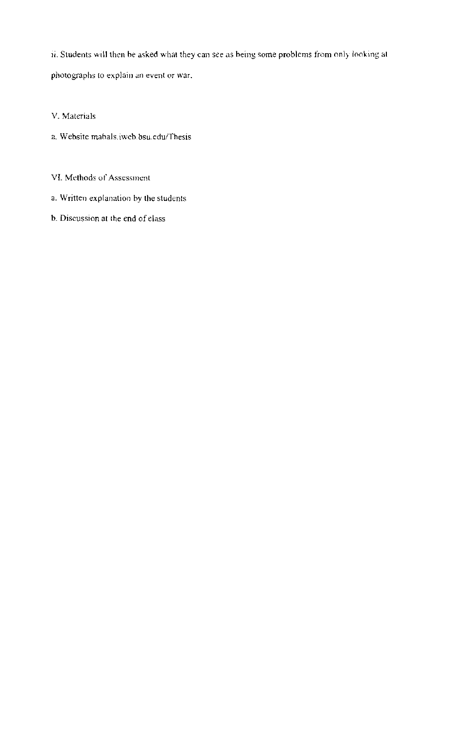ii. Students will then be asked what they can see as being some problems from only looking at photographs (0 explain an event or war.

V. Matcrials

- a. Website mabals. iweb.bsu.edu/Thesis
- VI. Methods of Assessment
- a. Written explanation by the students
- b. Discussion at the end of class